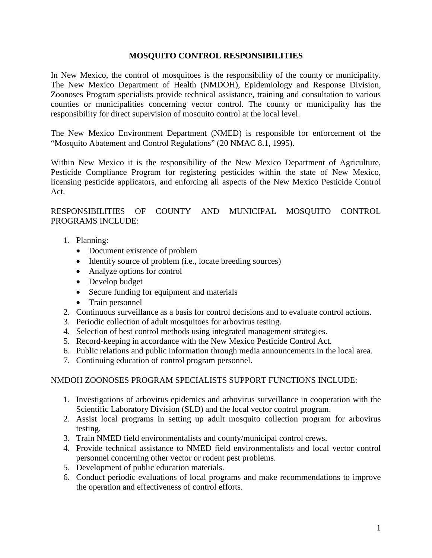## **MOSQUITO CONTROL RESPONSIBILITIES**

In New Mexico, the control of mosquitoes is the responsibility of the county or municipality. The New Mexico Department of Health (NMDOH), Epidemiology and Response Division, Zoonoses Program specialists provide technical assistance, training and consultation to various counties or municipalities concerning vector control. The county or municipality has the responsibility for direct supervision of mosquito control at the local level.

The New Mexico Environment Department (NMED) is responsible for enforcement of the "Mosquito Abatement and Control Regulations" (20 NMAC 8.1, 1995).

Within New Mexico it is the responsibility of the New Mexico Department of Agriculture, Pesticide Compliance Program for registering pesticides within the state of New Mexico, licensing pesticide applicators, and enforcing all aspects of the New Mexico Pesticide Control Act.

RESPONSIBILITIES OF COUNTY AND MUNICIPAL MOSQUITO CONTROL PROGRAMS INCLUDE:

- 1. Planning:
	- Document existence of problem
	- Identify source of problem (i.e., locate breeding sources)
	- Analyze options for control
	- Develop budget
	- Secure funding for equipment and materials
	- Train personnel
- 2. Continuous surveillance as a basis for control decisions and to evaluate control actions.
- 3. Periodic collection of adult mosquitoes for arbovirus testing.
- 4. Selection of best control methods using integrated management strategies.
- 5. Record-keeping in accordance with the New Mexico Pesticide Control Act.
- 6. Public relations and public information through media announcements in the local area.
- 7. Continuing education of control program personnel.

# NMDOH ZOONOSES PROGRAM SPECIALISTS SUPPORT FUNCTIONS INCLUDE:

- 1. Investigations of arbovirus epidemics and arbovirus surveillance in cooperation with the Scientific Laboratory Division (SLD) and the local vector control program.
- 2. Assist local programs in setting up adult mosquito collection program for arbovirus testing.
- 3. Train NMED field environmentalists and county/municipal control crews.
- 4. Provide technical assistance to NMED field environmentalists and local vector control personnel concerning other vector or rodent pest problems.
- 5. Development of public education materials.
- 6. Conduct periodic evaluations of local programs and make recommendations to improve the operation and effectiveness of control efforts.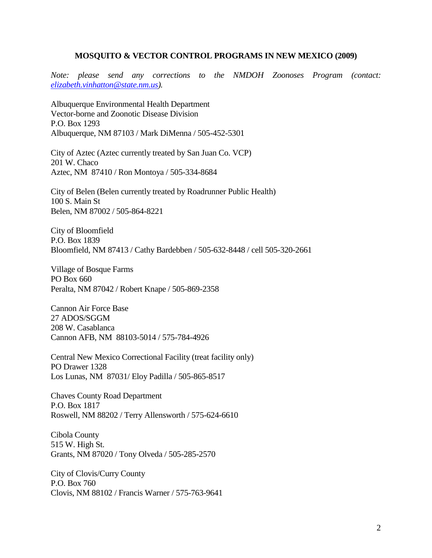#### **MOSQUITO & VECTOR CONTROL PROGRAMS IN NEW MEXICO (2009)**

*Note: please send any corrections to the NMDOH Zoonoses Program (contact: [elizabeth.vinhatton@state.nm.us\)](mailto:elizabeth.vinhatton@state.nm.us).*

Albuquerque Environmental Health Department Vector-borne and Zoonotic Disease Division P.O. Box 1293 Albuquerque, NM 87103 / Mark DiMenna / 505-452-5301

City of Aztec (Aztec currently treated by San Juan Co. VCP) 201 W. Chaco Aztec, NM 87410 / Ron Montoya / 505-334-8684

City of Belen (Belen currently treated by Roadrunner Public Health) 100 S. Main St Belen, NM 87002 / 505-864-8221

City of Bloomfield P.O. Box 1839 Bloomfield, NM 87413 / Cathy Bardebben / 505-632-8448 / cell 505-320-2661

Village of Bosque Farms PO Box 660 Peralta, NM 87042 / Robert Knape / 505-869-2358

Cannon Air Force Base 27 ADOS/SGGM 208 W. Casablanca Cannon AFB, NM 88103-5014 / 575-784-4926

Central New Mexico Correctional Facility (treat facility only) PO Drawer 1328 Los Lunas, NM 87031/ Eloy Padilla / 505-865-8517

Chaves County Road Department P.O. Box 1817 Roswell, NM 88202 / Terry Allensworth / 575-624-6610

Cibola County 515 W. High St. Grants, NM 87020 / Tony Olveda / 505-285-2570

City of Clovis/Curry County P.O. Box 760 Clovis, NM 88102 / Francis Warner / 575-763-9641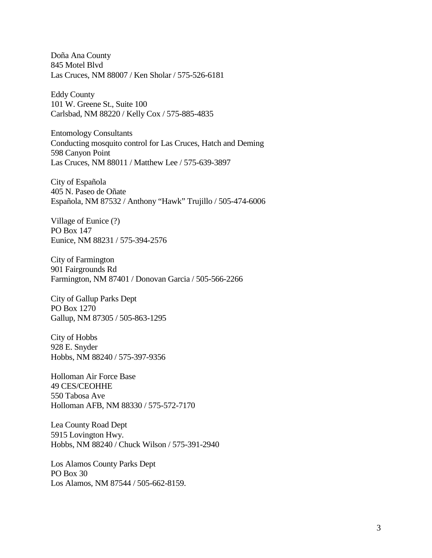Doña Ana County 845 Motel Blvd Las Cruces, NM 88007 / Ken Sholar / 575-526-6181

Eddy County 101 W. Greene St., Suite 100 Carlsbad, NM 88220 / Kelly Cox / 575-885-4835

Entomology Consultants Conducting mosquito control for Las Cruces, Hatch and Deming 598 Canyon Point Las Cruces, NM 88011 / Matthew Lee / 575-639-3897

City of Española 405 N. Paseo de Oñate Española, NM 87532 / Anthony "Hawk" Trujillo / 505-474-6006

Village of Eunice (?) PO Box 147 Eunice, NM 88231 / 575-394-2576

City of Farmington 901 Fairgrounds Rd Farmington, NM 87401 / Donovan Garcia / 505-566-2266

City of Gallup Parks Dept PO Box 1270 Gallup, NM 87305 / 505-863-1295

City of Hobbs 928 E. Snyder Hobbs, NM 88240 / 575-397-9356

Holloman Air Force Base 49 CES/CEOHHE 550 Tabosa Ave Holloman AFB, NM 88330 / 575-572-7170

Lea County Road Dept 5915 Lovington Hwy. Hobbs, NM 88240 / Chuck Wilson / 575-391-2940

Los Alamos County Parks Dept PO Box 30 Los Alamos, NM 87544 / 505-662-8159.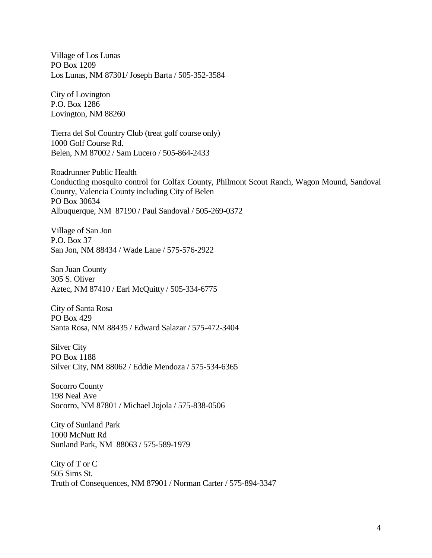Village of Los Lunas PO Box 1209 Los Lunas, NM 87301/ Joseph Barta / 505-352-3584

City of Lovington P.O. Box 1286 Lovington, NM 88260

Tierra del Sol Country Club (treat golf course only) 1000 Golf Course Rd. Belen, NM 87002 / Sam Lucero / 505-864-2433

Roadrunner Public Health Conducting mosquito control for Colfax County, Philmont Scout Ranch, Wagon Mound, Sandoval County, Valencia County including City of Belen PO Box 30634 Albuquerque, NM 87190 / Paul Sandoval / 505-269-0372

Village of San Jon P.O. Box 37 San Jon, NM 88434 / Wade Lane / 575-576-2922

San Juan County 305 S. Oliver Aztec, NM 87410 / Earl McQuitty / 505-334-6775

City of Santa Rosa PO Box 429 Santa Rosa, NM 88435 / Edward Salazar / 575-472-3404

Silver City PO Box 1188 Silver City, NM 88062 / Eddie Mendoza / 575-534-6365

Socorro County 198 Neal Ave Socorro, NM 87801 / Michael Jojola / 575-838-0506

City of Sunland Park 1000 McNutt Rd Sunland Park, NM 88063 / 575-589-1979

City of T or C 505 Sims St. Truth of Consequences, NM 87901 / Norman Carter / 575-894-3347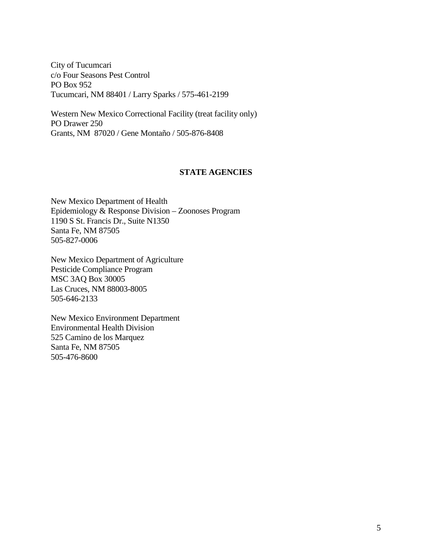City of Tucumcari c/o Four Seasons Pest Control PO Box 952 Tucumcari, NM 88401 / Larry Sparks / 575-461-2199

Western New Mexico Correctional Facility (treat facility only) PO Drawer 250 Grants, NM 87020 / Gene Montaño / 505-876-8408

### **STATE AGENCIES**

New Mexico Department of Health Epidemiology & Response Division – Zoonoses Program 1190 S St. Francis Dr., Suite N1350 Santa Fe, NM 87505 505-827-0006

New Mexico Department of Agriculture Pesticide Compliance Program MSC 3AQ Box 30005 Las Cruces, NM 88003-8005 505-646-2133

New Mexico Environment Department Environmental Health Division 525 Camino de los Marquez Santa Fe, NM 87505 505-476-8600